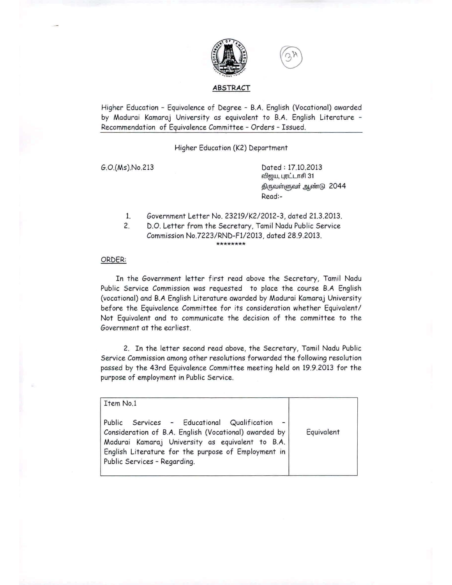

### ABSTRACT

Higher Education - Equivalence of Degree - B.A. English (Vocational) awarded by Madurai Kamaraj University as equivalent to B.A. English Literature - Recommendation of Equivalence Committee - Orders - Issued.

Higher Education (K2) Department

G.O.(Ms).No.213 Dated: 17.10.2013 விஜய, புரட்டாசி 31 திருவள்ளுவர் ஆண்டு 2044 Read:-

- 1. Government Letter No. 23219/K2/2012-3, dated 21.3.2013.
- 2. D.O. Letter from the Secretary, Tamil Nadu Public Service Commission No.7223/RND-F1/2013, dated 28.9.2013. **\*\*\*\*\*\*\*\***

### ORDER:

In the Government letter first read above the Secretary, Tamil Nadu Public Service Commission was requested to place the course B.A English (vocational) and B.A English Literature awarded by Madurai Kamaraj University before the Equivalence Committee for its consideration whether Equivalent/ Not Equivalent and to communicate the decision of the committee to the Government at the earliest.

2. In the letter second read above, the Secretary, Tamil Nadu Public Service Commission among other resolutions forwarded the following resolution passed by the 43rd Equivalence Committee meeting held on 19.9.2013 for the purpose of employment in Public Service.

| Item No.1                                                                                                                                                                                                                                       |            |
|-------------------------------------------------------------------------------------------------------------------------------------------------------------------------------------------------------------------------------------------------|------------|
| Public Services - Educational Qualification<br>Consideration of B.A. English (Vocational) awarded by<br>Madurai Kamaraj University as equivalent to B.A.<br>English Literature for the purpose of Employment in<br>Public Services - Regarding. | Equivalent |